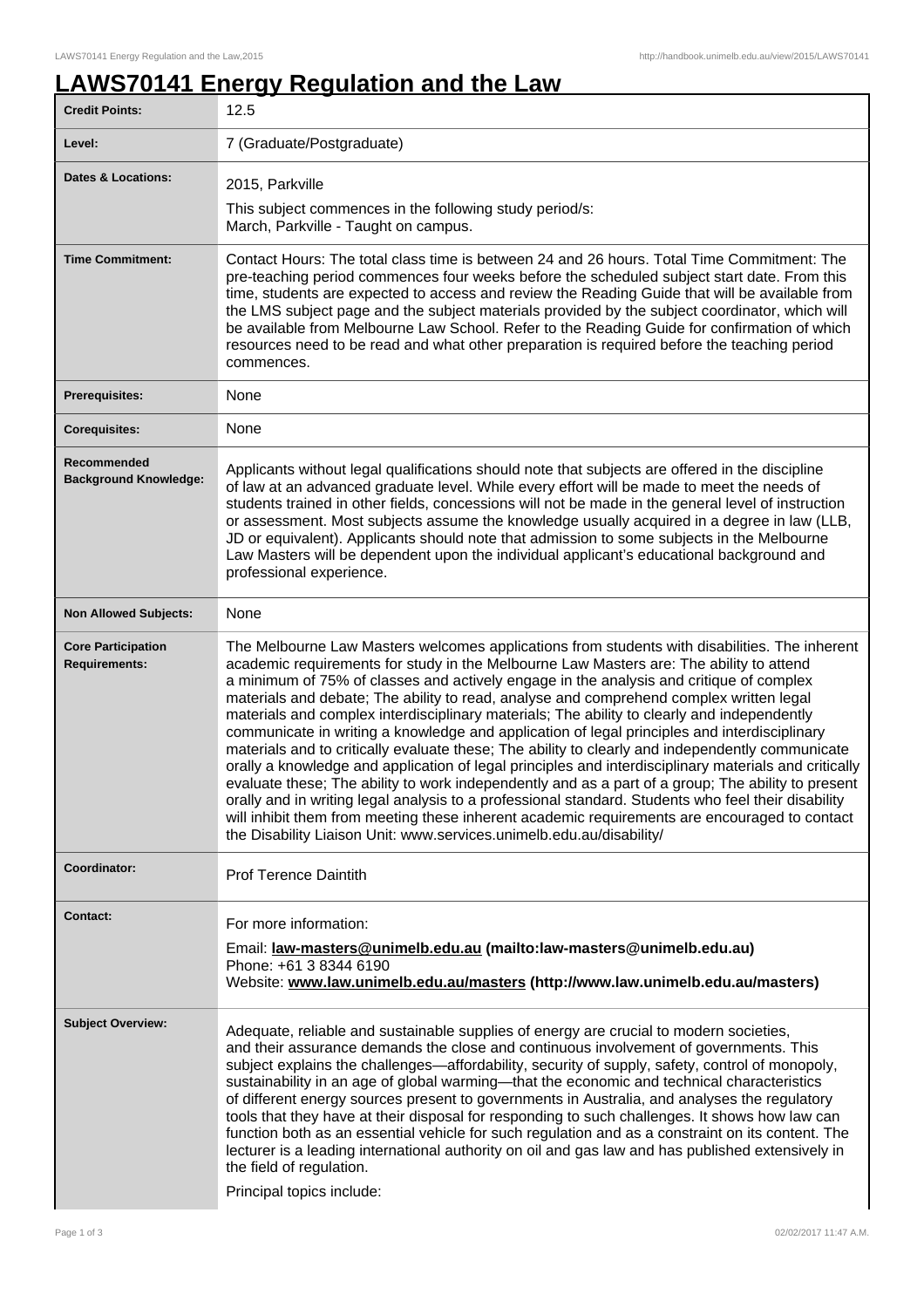## **LAWS70141 Energy Regulation and the Law**

| <b>Credit Points:</b>                             | 12.5                                                                                                                                                                                                                                                                                                                                                                                                                                                                                                                                                                                                                                                                                                                                                                                                                                                                                                                                                                                                                                                                                                                                                                             |
|---------------------------------------------------|----------------------------------------------------------------------------------------------------------------------------------------------------------------------------------------------------------------------------------------------------------------------------------------------------------------------------------------------------------------------------------------------------------------------------------------------------------------------------------------------------------------------------------------------------------------------------------------------------------------------------------------------------------------------------------------------------------------------------------------------------------------------------------------------------------------------------------------------------------------------------------------------------------------------------------------------------------------------------------------------------------------------------------------------------------------------------------------------------------------------------------------------------------------------------------|
| Level:                                            | 7 (Graduate/Postgraduate)                                                                                                                                                                                                                                                                                                                                                                                                                                                                                                                                                                                                                                                                                                                                                                                                                                                                                                                                                                                                                                                                                                                                                        |
| <b>Dates &amp; Locations:</b>                     | 2015, Parkville                                                                                                                                                                                                                                                                                                                                                                                                                                                                                                                                                                                                                                                                                                                                                                                                                                                                                                                                                                                                                                                                                                                                                                  |
|                                                   | This subject commences in the following study period/s:<br>March, Parkville - Taught on campus.                                                                                                                                                                                                                                                                                                                                                                                                                                                                                                                                                                                                                                                                                                                                                                                                                                                                                                                                                                                                                                                                                  |
| <b>Time Commitment:</b>                           | Contact Hours: The total class time is between 24 and 26 hours. Total Time Commitment: The<br>pre-teaching period commences four weeks before the scheduled subject start date. From this<br>time, students are expected to access and review the Reading Guide that will be available from<br>the LMS subject page and the subject materials provided by the subject coordinator, which will<br>be available from Melbourne Law School. Refer to the Reading Guide for confirmation of which<br>resources need to be read and what other preparation is required before the teaching period<br>commences.                                                                                                                                                                                                                                                                                                                                                                                                                                                                                                                                                                       |
| <b>Prerequisites:</b>                             | None                                                                                                                                                                                                                                                                                                                                                                                                                                                                                                                                                                                                                                                                                                                                                                                                                                                                                                                                                                                                                                                                                                                                                                             |
| <b>Corequisites:</b>                              | None                                                                                                                                                                                                                                                                                                                                                                                                                                                                                                                                                                                                                                                                                                                                                                                                                                                                                                                                                                                                                                                                                                                                                                             |
| Recommended<br><b>Background Knowledge:</b>       | Applicants without legal qualifications should note that subjects are offered in the discipline<br>of law at an advanced graduate level. While every effort will be made to meet the needs of<br>students trained in other fields, concessions will not be made in the general level of instruction<br>or assessment. Most subjects assume the knowledge usually acquired in a degree in law (LLB,<br>JD or equivalent). Applicants should note that admission to some subjects in the Melbourne<br>Law Masters will be dependent upon the individual applicant's educational background and<br>professional experience.                                                                                                                                                                                                                                                                                                                                                                                                                                                                                                                                                         |
| <b>Non Allowed Subjects:</b>                      | None                                                                                                                                                                                                                                                                                                                                                                                                                                                                                                                                                                                                                                                                                                                                                                                                                                                                                                                                                                                                                                                                                                                                                                             |
| <b>Core Participation</b><br><b>Requirements:</b> | The Melbourne Law Masters welcomes applications from students with disabilities. The inherent<br>academic requirements for study in the Melbourne Law Masters are: The ability to attend<br>a minimum of 75% of classes and actively engage in the analysis and critique of complex<br>materials and debate; The ability to read, analyse and comprehend complex written legal<br>materials and complex interdisciplinary materials; The ability to clearly and independently<br>communicate in writing a knowledge and application of legal principles and interdisciplinary<br>materials and to critically evaluate these; The ability to clearly and independently communicate<br>orally a knowledge and application of legal principles and interdisciplinary materials and critically<br>evaluate these; The ability to work independently and as a part of a group; The ability to present<br>orally and in writing legal analysis to a professional standard. Students who feel their disability<br>will inhibit them from meeting these inherent academic requirements are encouraged to contact<br>the Disability Liaison Unit: www.services.unimelb.edu.au/disability/ |
| Coordinator:                                      | <b>Prof Terence Daintith</b>                                                                                                                                                                                                                                                                                                                                                                                                                                                                                                                                                                                                                                                                                                                                                                                                                                                                                                                                                                                                                                                                                                                                                     |
| <b>Contact:</b>                                   | For more information:<br>Email: law-masters@unimelb.edu.au (mailto:law-masters@unimelb.edu.au)<br>Phone: +61 3 8344 6190<br>Website: www.law.unimelb.edu.au/masters (http://www.law.unimelb.edu.au/masters)                                                                                                                                                                                                                                                                                                                                                                                                                                                                                                                                                                                                                                                                                                                                                                                                                                                                                                                                                                      |
| <b>Subject Overview:</b>                          | Adequate, reliable and sustainable supplies of energy are crucial to modern societies,<br>and their assurance demands the close and continuous involvement of governments. This<br>subject explains the challenges—affordability, security of supply, safety, control of monopoly,<br>sustainability in an age of global warming—that the economic and technical characteristics<br>of different energy sources present to governments in Australia, and analyses the regulatory<br>tools that they have at their disposal for responding to such challenges. It shows how law can<br>function both as an essential vehicle for such regulation and as a constraint on its content. The<br>lecturer is a leading international authority on oil and gas law and has published extensively in<br>the field of regulation.<br>Principal topics include:                                                                                                                                                                                                                                                                                                                            |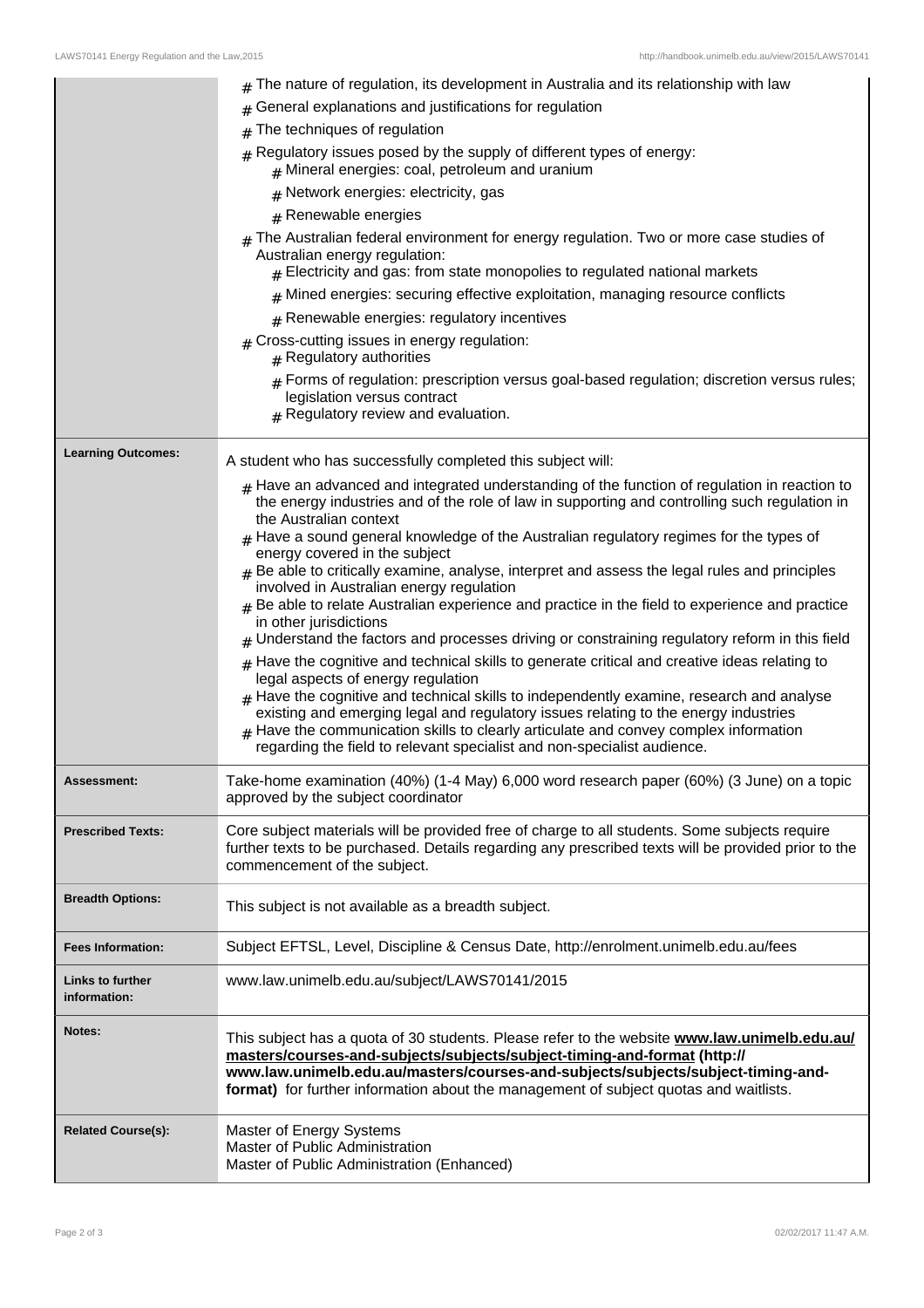|                                         | The nature of regulation, its development in Australia and its relationship with law                                                                                                                                                                                                                                                                                                                                                                                                            |
|-----------------------------------------|-------------------------------------------------------------------------------------------------------------------------------------------------------------------------------------------------------------------------------------------------------------------------------------------------------------------------------------------------------------------------------------------------------------------------------------------------------------------------------------------------|
|                                         | General explanations and justifications for regulation<br>#                                                                                                                                                                                                                                                                                                                                                                                                                                     |
|                                         | The techniques of regulation<br>#                                                                                                                                                                                                                                                                                                                                                                                                                                                               |
|                                         | $#$ Regulatory issues posed by the supply of different types of energy:<br>$#$ Mineral energies: coal, petroleum and uranium                                                                                                                                                                                                                                                                                                                                                                    |
|                                         | $#$ Network energies: electricity, gas                                                                                                                                                                                                                                                                                                                                                                                                                                                          |
|                                         | $#$ Renewable energies                                                                                                                                                                                                                                                                                                                                                                                                                                                                          |
|                                         | $_{\#}$ The Australian federal environment for energy regulation. Two or more case studies of<br>Australian energy regulation:<br>$#$ Electricity and gas: from state monopolies to regulated national markets                                                                                                                                                                                                                                                                                  |
|                                         | $#$ Mined energies: securing effective exploitation, managing resource conflicts                                                                                                                                                                                                                                                                                                                                                                                                                |
|                                         | $#$ Renewable energies: regulatory incentives                                                                                                                                                                                                                                                                                                                                                                                                                                                   |
|                                         | $#$ Cross-cutting issues in energy regulation:<br>$#$ Regulatory authorities                                                                                                                                                                                                                                                                                                                                                                                                                    |
|                                         | $_{\#}$ Forms of regulation: prescription versus goal-based regulation; discretion versus rules;<br>legislation versus contract<br>$#$ Regulatory review and evaluation.                                                                                                                                                                                                                                                                                                                        |
| <b>Learning Outcomes:</b>               | A student who has successfully completed this subject will:                                                                                                                                                                                                                                                                                                                                                                                                                                     |
|                                         | $_{\#}$ Have an advanced and integrated understanding of the function of regulation in reaction to<br>the energy industries and of the role of law in supporting and controlling such regulation in<br>the Australian context<br>$*$ Have a sound general knowledge of the Australian regulatory regimes for the types of<br>energy covered in the subject                                                                                                                                      |
|                                         | $#$ Be able to critically examine, analyse, interpret and assess the legal rules and principles<br>involved in Australian energy regulation<br>$_{\#}$ Be able to relate Australian experience and practice in the field to experience and practice<br>in other jurisdictions<br>$*$ Understand the factors and processes driving or constraining regulatory reform in this field                                                                                                               |
|                                         | $*$ Have the cognitive and technical skills to generate critical and creative ideas relating to<br>legal aspects of energy regulation<br>$#$ Have the cognitive and technical skills to independently examine, research and analyse<br>existing and emerging legal and regulatory issues relating to the energy industries<br>$#$ Have the communication skills to clearly articulate and convey complex information<br>regarding the field to relevant specialist and non-specialist audience. |
| Assessment:                             | Take-home examination (40%) (1-4 May) 6,000 word research paper (60%) (3 June) on a topic<br>approved by the subject coordinator                                                                                                                                                                                                                                                                                                                                                                |
| <b>Prescribed Texts:</b>                | Core subject materials will be provided free of charge to all students. Some subjects require<br>further texts to be purchased. Details regarding any prescribed texts will be provided prior to the<br>commencement of the subject.                                                                                                                                                                                                                                                            |
| <b>Breadth Options:</b>                 | This subject is not available as a breadth subject.                                                                                                                                                                                                                                                                                                                                                                                                                                             |
| <b>Fees Information:</b>                | Subject EFTSL, Level, Discipline & Census Date, http://enrolment.unimelb.edu.au/fees                                                                                                                                                                                                                                                                                                                                                                                                            |
| <b>Links to further</b><br>information: | www.law.unimelb.edu.au/subject/LAWS70141/2015                                                                                                                                                                                                                                                                                                                                                                                                                                                   |
| Notes:                                  | This subject has a quota of 30 students. Please refer to the website www.law.unimelb.edu.au/<br>masters/courses-and-subjects/subjects/subject-timing-and-format (http://<br>www.law.unimelb.edu.au/masters/courses-and-subjects/subjects/subject-timing-and-<br>format) for further information about the management of subject quotas and waitlists.                                                                                                                                           |
| <b>Related Course(s):</b>               | Master of Energy Systems<br>Master of Public Administration<br>Master of Public Administration (Enhanced)                                                                                                                                                                                                                                                                                                                                                                                       |